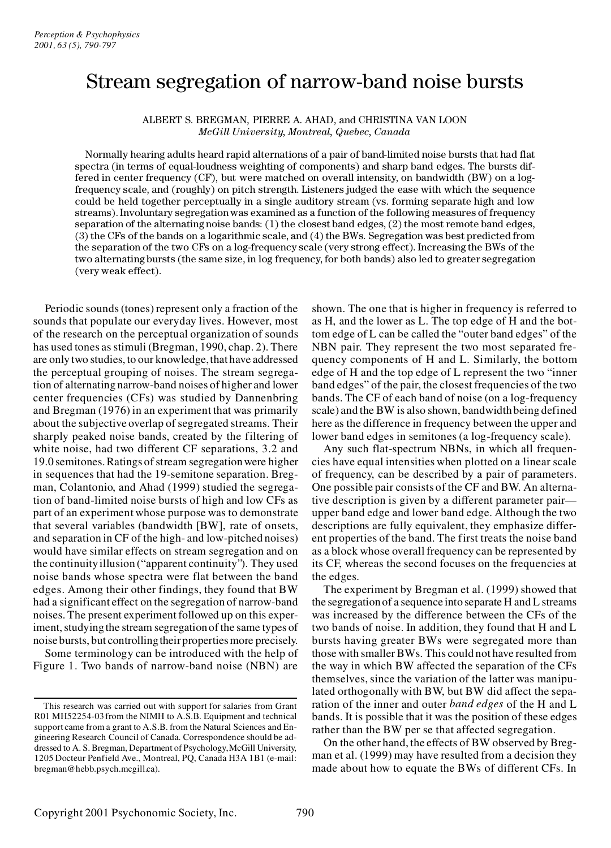# Stream segregation of narrow-band noise bursts

ALBERT S. BREGMAN, PIERRE A. AHAD, and CHRISTINA VAN LOON *McGill University, Montreal, Quebec, Canada*

Normally hearing adults heard rapid alternations of a pair of band-limited noise bursts that had flat spectra (in terms of equal-loudness weighting of components) and sharp band edges. The bursts differed in center frequency (CF), but were matched on overall intensity, on bandwidth (BW) on a logfrequency scale, and (roughly) on pitch strength. Listeners judged the ease with which the sequence could be held together perceptually in a single auditory stream (vs. forming separate high and low streams). Involuntary segregation was examined as a function of the following measures of frequency separation of the alternating noise bands: (1) the closest band edges, (2) the most remote band edges, (3) the CFs of the bands on a logarithmic scale, and (4) the BWs. Segregation was best predicted from the separation of the two CFs on a log-frequency scale (very strong effect). Increasing the BWs of the two alternating bursts (the same size, in log frequency, for both bands) also led to greater segregation (very weak effect).

Periodic sounds (tones) represent only a fraction of the sounds that populate our everyday lives. However, most of the research on the perceptual organization of sounds has used tones as stimuli (Bregman, 1990, chap. 2). There are only two studies, to our knowledge, that have addressed the perceptual grouping of noises. The stream segregation of alternating narrow-band noises of higher and lower center frequencies (CFs) was studied by Dannenbring and Bregman (1976) in an experiment that was primarily about the subjective overlap of segregated streams. Their sharply peaked noise bands, created by the filtering of white noise, had two different CF separations, 3.2 and 19.0 semitones. Ratings of stream segregation were higher in sequences that had the 19-semitone separation. Bregman, Colantonio, and Ahad (1999) studied the segregation of band-limited noise bursts of high and low CFs as part of an experiment whose purpose was to demonstrate that several variables (bandwidth [BW], rate of onsets, and separation in CF of the high- and low-pitched noises) would have similar effects on stream segregation and on the continuity illusion ("apparent continuity"). They used noise bands whose spectra were flat between the band edges. Among their other findings, they found that BW had a significant effect on the segregation of narrow-band noises. The present experiment followed up on this experiment, studying the stream segregation of the same types of noise bursts, but controlling their properties more precisely.

Some terminology can be introduced with the help of Figure 1. Two bands of narrow-band noise (NBN) are

shown. The one that is higher in frequency is referred to as H, and the lower as L. The top edge of H and the bottom edge of L can be called the "outer band edges" of the NBN pair. They represent the two most separated frequency components of H and L. Similarly, the bottom edge of H and the top edge of L represent the two "inner band edges" of the pair, the closest frequencies of the two bands. The CF of each band of noise (on a log-frequency scale) and the BW is also shown, bandwidth being defined here as the difference in frequency between the upper and lower band edges in semitones (a log-frequency scale).

Any such flat-spectrum NBNs, in which all frequencies have equal intensities when plotted on a linear scale of frequency, can be described by a pair of parameters. One possible pair consists of the CF and BW. An alternative description is given by a different parameter pair upper band edge and lower band edge. Although the two descriptions are fully equivalent, they emphasize different properties of the band. The first treats the noise band as a block whose overall frequency can be represented by its CF, whereas the second focuses on the frequencies at the edges.

The experiment by Bregman et al. (1999) showed that the segregation of a sequence into separate H and L streams was increased by the difference between the CFs of the two bands of noise. In addition, they found that H and L bursts having greater BWs were segregated more than those with smaller BWs. This could not have resulted from the way in which BW affected the separation of the CFs themselves, since the variation of the latter was manipulated orthogonally with BW, but BW did affect the separation of the inner and outer *band edges* of the H and L bands. It is possible that it was the position of these edges rather than the BW per se that affected segregation.

On the other hand, the effects of BW observed by Bregman et al. (1999) may have resulted from a decision they made about how to equate the BWs of different CFs. In

This research was carried out with support for salaries from Grant R01 MH52254-03 from the NIMH to A.S.B. Equipment and technical support came from a grant to A.S.B. from the Natural Sciences and Engineering Research Council of Canada. Correspondence should be addressed to A. S. Bregman, Department of Psychology, McGill University, 1205 Docteur Penfield Ave., Montreal, PQ, Canada H3A 1B1 (e-mail: bregman@hebb.psych.mcgill.ca).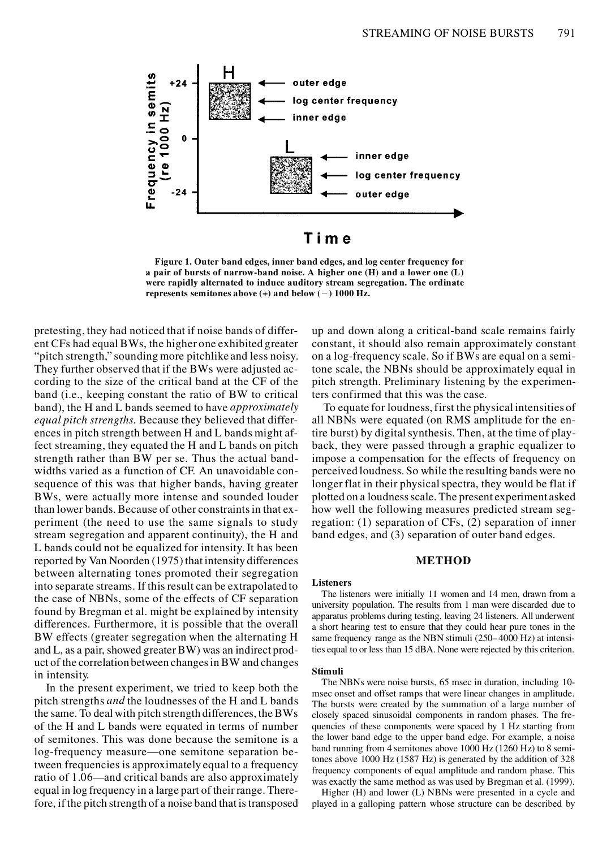

**Figure 1. Outer band edges, inner band edges, and log center frequency for a pair of bursts of narrow-band noise. A higher one (H) and a lower one (L) were rapidly alternated to induce auditory stream segregation. The ordinate represents semitones above**  $(+)$  **and below**  $(-)$  **1000 Hz.** 

pretesting, they had noticed that if noise bands of different CFs had equal BWs, the higher one exhibited greater "pitch strength," sounding more pitchlike and less noisy. They further observed that if the BWs were adjusted according to the size of the critical band at the CF of the band (i.e., keeping constant the ratio of BW to critical band), the H and L bands seemed to have *approximately equal pitch strengths*. Because they believed that differences in pitch strength between H and L bands might affect streaming, they equated the H and L bands on pitch strength rather than BW per se. Thus the actual bandwidths varied as a function of CF. An unavoidable consequence of this was that higher bands, having greater BWs, were actually more intense and sounded louder than lower bands. Because of other constraints in that experiment (the need to use the same signals to study stream segregation and apparent continuity), the H and L bands could not be equalized for intensity. It has been reported by Van Noorden (1975) that intensity differences between alternating tones promoted their segregation into separate streams. If this result can be extrapolated to the case of NBNs, some of the effects of CF separation found by Bregman et al. might be explained by intensity differences. Furthermore, it is possible that the overall BW effects (greater segregation when the alternating H and L, as a pair, showed greater BW) was an indirect product of the correlation between changes in BW and changes in intensity.

In the present experiment, we tried to keep both the pitch strengths *and* the loudnesses of the H and L bands the same. To deal with pitch strength differences, the BWs of the H and L bands were equated in terms of number of semitones. This was done because the semitone is a log-frequency measure—one semitone separation between frequencies is approximately equal to a frequency ratio of 1.06—and critical bands are also approximately equal in log frequency in a large part of their range. Therefore, if the pitch strength of a noise band that is transposed up and down along a critical-band scale remains fairly constant, it should also remain approximately constant on a log-frequency scale. So if BWs are equal on a semitone scale, the NBNs should be approximately equal in pitch strength. Preliminary listening by the experimenters confirmed that this was the case.

To equate for loudness, first the physical intensities of all NBNs were equated (on RMS amplitude for the entire burst) by digital synthesis. Then, at the time of playback, they were passed through a graphic equalizer to impose a compensation for the effects of frequency on perceived loudness. So while the resulting bands were no longer flat in their physical spectra, they would be flat if plotted on a loudness scale. The present experiment asked how well the following measures predicted stream segregation: (1) separation of CFs, (2) separation of inner band edges, and (3) separation of outer band edges.

## **METHOD**

## **Listeners**

The listeners were initially 11 women and 14 men, drawn from a university population. The results from 1 man were discarded due to apparatus problems during testing, leaving 24 listeners. All underwent a short hearing test to ensure that they could hear pure tones in the same frequency range as the NBN stimuli (250–4000 Hz) at intensities equal to or less than 15 dBA. None were rejected by this criterion.

#### **Stimuli**

The NBNs were noise bursts, 65 msec in duration, including 10 msec onset and offset ramps that were linear changes in amplitude. The bursts were created by the summation of a large number of closely spaced sinusoidal components in random phases. The frequencies of these components were spaced by 1 Hz starting from the lower band edge to the upper band edge. For example, a noise band running from 4 semitones above 1000 Hz (1260 Hz) to 8 semitones above 1000 Hz (1587 Hz) is generated by the addition of 328 frequency components of equal amplitude and random phase. This was exactly the same method as was used by Bregman et al. (1999).

Higher (H) and lower (L) NBNs were presented in a cycle and played in a galloping pattern whose structure can be described by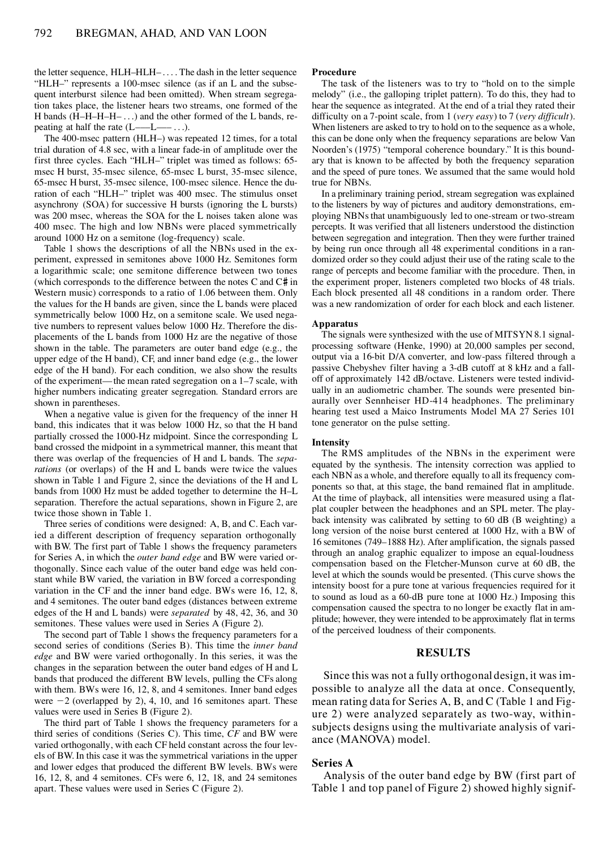the letter sequence, HLH–HLH– . .. . The dash in the letter sequence "HLH–" represents a 100-msec silence (as if an L and the subsequent interburst silence had been omitted). When stream segregation takes place, the listener hears two streams, one formed of the H bands (H–H–H–H– . . .) and the other formed of the L bands, re peating at half the rate  $(L_{--}-L_{--}...).$ 

The 400-msec pattern (HLH–) was repeated 12 times, for a total trial duration of 4.8 sec, with a linear fade-in of amplitude over the first three cycles. Each "HLH–" triplet was timed as follows: 65 msec H burst, 35-msec silence, 65-msec L burst, 35-msec silence, 65-msec H burst, 35-msec silence, 100-msec silence. Hence the duration of each "HLH–" triplet was 400 msec. The stimulus onset asynchrony (SOA) for successive H bursts (ignoring the L bursts) was 200 msec, whereas the SOA for the L noises taken alone was 400 msec. The high and low NBNs were placed symmetrically around 1000 Hz on a semitone (log-frequency) scale.

Table 1 shows the descriptions of all the NBNs used in the ex periment, expressed in semitones above 1000 Hz. Semitones form a logarithmic scale; one semitone difference between two tones (which corresponds to the difference between the notes  $C$  and  $C\ddagger$  in Western music) corresponds to a ratio of 1.06 between them. Only the values for the H bands are given, since the L bands were placed symmetrically below 1000 Hz, on a semitone scale. We used negative numbers to represent values below 1000 Hz. Therefore the displacements of the L bands from 1000 Hz are the negative of those shown in the table. The parameters are outer band edge (e.g., the upper edge of the H band), CF, and inner band edge (e.g., the lower edge of the H band). For each condition, we also show the results of the experiment—the mean rated segregation on a 1–7 scale, with higher numbers indicating greater segregation. Standard errors are shown in parentheses.

When a negative value is given for the frequency of the inner H band, this indicates that it was below 1000 Hz, so that the H band partially crossed the 1000-Hz midpoint. Since the corresponding L band crossed the midpoint in a symmetrical manner, this meant that there was overlap of the frequencies of H and L bands. The *separations* (or overlaps) of the H and L bands were twice the values shown in Table 1 and Figure 2, since the deviations of the H and L bands from 1000 Hz must be added together to determine the H–L separation. Therefore the actual separations, shown in Figure 2, are twice those shown in Table 1.

Three series of conditions were designed: A, B, and C. Each varied a different description of frequency separation orthogonally with BW. The first part of Table 1 shows the frequency parameters for Series A, in which the *outer band edge* and BW were varied orthogonally. Since each value of the outer band edge was held con stant while BW varied, the variation in BW forced a corresponding variation in the CF and the inner band edge. BWs were 16, 12, 8, and 4 semitones. The outer band edges (distances between extreme edges of the H and L bands) were *separated* by 48, 42, 36, and 30 semitones. These values were used in Series A (Figure 2).

The second part of Table 1 shows the frequency parameters for a second series of conditions (Series B). This time the *inner band edge* and BW were varied orthogonally. In this series, it was the changes in the separation between the outer band edges of H and L bands that produced the different BW levels, pulling the CFs along with them. BWs were 16, 12, 8, and 4 semitones. Inner band edges were  $-2$  (overlapped by 2), 4, 10, and 16 semitones apart. These values were used in Series B (Figure 2).

The third part of Table 1 shows the frequency parameters for a third series of conditions (Series C). This time, *CF* and BW were varied orthogonally, with each CF held constant across the four levels of BW. In this case it was the symmetrical variations in the upper and lower edges that produced the different BW levels. BWs were 16, 12, 8, and 4 semitones. CFs were 6, 12, 18, and 24 semitones apart. These values were used in Series C (Figure 2).

#### **Procedure**

The task of the listeners was to try to "hold on to the simple melody" (i.e., the galloping triplet pattern). To do this, they had to hear the sequence as integrated. At the end of a trial they rated their difficulty on a 7-point scale, from 1 (*very easy*) to 7 (*very difficult*). When listeners are asked to try to hold on to the sequence as a whole, this can be done only when the frequency separations are below Van Noorden's (1975) "temporal coherence boundary." It is this boundary that is known to be affected by both the frequency separation and the speed of pure tones. We assumed that the same would hold true for NBNs.

In a preliminary training period, stream segregation was explained to the listeners by way of pictures and auditory demonstrations, em ploying NBNs that unambiguously led to one-stream or two-stream percepts. It was verified that all listeners understood the distinction between segregation and integration. Then they were further trained by being run once through all 48 experimental conditions in a ran domized order so they could adjust their use of the rating scale to the range of percepts and become familiar with the procedure. Then, in the experiment proper, listeners completed two blocks of 48 trials. Each block presented all 48 conditions in a random order. There was a new randomization of order for each block and each listener.

#### **Apparatus**

The signals were synthesized with the use of MITSYN 8.1 signalprocessing software (Henke, 1990) at 20,000 samples per second, output via a 16-bit D/A converter, and low-pass filtered through a passive Chebyshev filter having a 3-dB cutoff at 8 kHz and a falloff of approximately 142 dB/octave. Listeners were tested individually in an audiometric chamber. The sounds were presented binaurally over Sennheiser HD-414 headphones. The preliminary hearing test used a Maico Instruments Model MA 27 Series 101 tone generator on the pulse setting.

#### **Intensity**

The RMS amplitudes of the NBNs in the experiment were equated by the synthesis. The intensity correction was applied to each NBN as a whole, and therefore equally to all its frequency com ponents so that, at this stage, the band remained flat in amplitude. At the time of playback, all intensities were measured using a flatplat coupler between the headphones and an SPL meter. The playback intensity was calibrated by setting to 60 dB (B weighting) a long version of the noise burst centered at 1000 Hz, with a BW of 16 semitones (749–1888 Hz). After amplification, the signals passed through an analog graphic equalizer to impose an equal-loudness compensation based on the Fletcher-Munson curve at 60 dB, the level at which the sounds would be presented. (This curve shows the intensity boost for a pure tone at various frequencies required for it to sound as loud as a 60-dB pure tone at 1000 Hz.) Imposing this compensation caused the spectra to no longer be exactly flat in am plitude; however, they were intended to be approximately flat in terms of the perceived loudness of their components.

# **RESULTS**

Since this was not a fully orthogonal design, it was impossible to analyze all the data at once. Consequently, mean rating data for Series A, B, and C (Table 1 and Figure 2) were analyzed separately as two-way, withinsubjects designs using the multivariate analysis of variance (MANOVA) model.

### **Series A**

Analysis of the outer band edge by BW (first part of Table 1 and top panel of Figure 2) showed highly signif-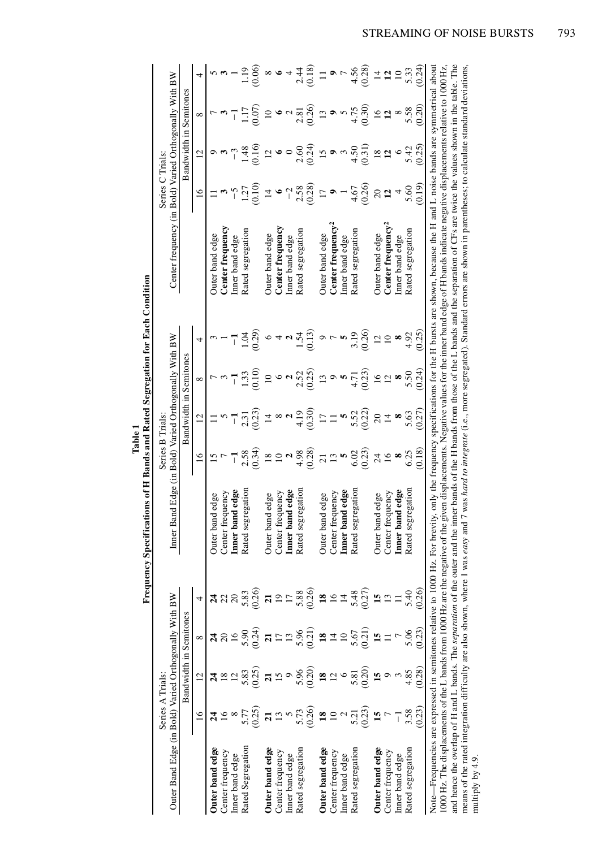|                                                       |                  |                 |                        |                    | Frequency Specifications of H Bands and Rated Segregation for Each Condition |                       |                 |                               |                          |                                                                                                                                                                                                                                                                                                                                                                                                                                                                                                                                                                                                                                                                                                                                                                                                                                                  |                        |                               |                 |                |
|-------------------------------------------------------|------------------|-----------------|------------------------|--------------------|------------------------------------------------------------------------------|-----------------------|-----------------|-------------------------------|--------------------------|--------------------------------------------------------------------------------------------------------------------------------------------------------------------------------------------------------------------------------------------------------------------------------------------------------------------------------------------------------------------------------------------------------------------------------------------------------------------------------------------------------------------------------------------------------------------------------------------------------------------------------------------------------------------------------------------------------------------------------------------------------------------------------------------------------------------------------------------------|------------------------|-------------------------------|-----------------|----------------|
|                                                       | Series A Trials: |                 |                        |                    |                                                                              | Series B Trials:      |                 |                               |                          |                                                                                                                                                                                                                                                                                                                                                                                                                                                                                                                                                                                                                                                                                                                                                                                                                                                  | Series C Trials:       |                               |                 |                |
| Outer Band Edge (in Bold) Varied Orthogonally With BW |                  |                 |                        |                    | Inner Band Edge (in Bold) Varied Orthogonally With BW                        |                       |                 |                               |                          | Center frequency (in Bold) Varied Orthogonally With BW                                                                                                                                                                                                                                                                                                                                                                                                                                                                                                                                                                                                                                                                                                                                                                                           |                        |                               |                 |                |
|                                                       |                  |                 | Bandwidth in Semitones |                    |                                                                              |                       |                 | <b>Bandwidth in Semitones</b> |                          |                                                                                                                                                                                                                                                                                                                                                                                                                                                                                                                                                                                                                                                                                                                                                                                                                                                  |                        | <b>Bandwidth in Semitones</b> |                 |                |
|                                                       | $\frac{6}{2}$    | $\overline{c}$  | $\infty$               | 4                  |                                                                              | $\frac{6}{2}$         | $\overline{12}$ | $^{\circ}$                    | 4                        |                                                                                                                                                                                                                                                                                                                                                                                                                                                                                                                                                                                                                                                                                                                                                                                                                                                  | $\frac{6}{2}$          | $\overline{12}$               | $^{\circ}$      | 4              |
| Outer band edge                                       |                  |                 |                        |                    | Outer band edge                                                              | 51                    |                 |                               |                          | Duter band edge                                                                                                                                                                                                                                                                                                                                                                                                                                                                                                                                                                                                                                                                                                                                                                                                                                  |                        |                               |                 |                |
| Center frequency                                      |                  |                 |                        |                    | Center frequency                                                             |                       |                 |                               |                          | Center frequency                                                                                                                                                                                                                                                                                                                                                                                                                                                                                                                                                                                                                                                                                                                                                                                                                                 |                        |                               |                 |                |
| Inner band edge                                       |                  |                 |                        |                    | Inner band edge                                                              |                       |                 |                               |                          | Inner band edge                                                                                                                                                                                                                                                                                                                                                                                                                                                                                                                                                                                                                                                                                                                                                                                                                                  |                        |                               |                 |                |
| Rated Segregation                                     | (0.25)           | 0.25<br>5.83    | $5.30$<br>$0.24$       | 5.83<br>0.26)      | Rated segregation                                                            | (0.34)<br>2.58        | 0.23            | 0.10                          | 0.29                     | Rated segregation                                                                                                                                                                                                                                                                                                                                                                                                                                                                                                                                                                                                                                                                                                                                                                                                                                | 0.10<br>$\bar{\omega}$ | (0.16)<br>4.                  | 0.07            | 0.06           |
| Outer band edge                                       |                  |                 |                        |                    | Outer band edge                                                              | $\overline{18}$       | 4               |                               |                          | Outer band edge                                                                                                                                                                                                                                                                                                                                                                                                                                                                                                                                                                                                                                                                                                                                                                                                                                  | 그                      | $\overline{\mathcal{C}}$      |                 |                |
| Center frequency                                      |                  |                 |                        |                    | Center frequency                                                             | $\overline{10}$       |                 |                               |                          | Center frequency                                                                                                                                                                                                                                                                                                                                                                                                                                                                                                                                                                                                                                                                                                                                                                                                                                 |                        |                               |                 |                |
| Inner band edge                                       |                  |                 |                        |                    | Inner band edge                                                              | $\mathbf{a}$          | $\infty$ M      | $\frac{6}{3}$                 |                          | Inner band edge                                                                                                                                                                                                                                                                                                                                                                                                                                                                                                                                                                                                                                                                                                                                                                                                                                  |                        |                               | $\frac{2}{3}$   |                |
| Rated segregation                                     | 5.73             | 5.96            |                        |                    | Rated segregation                                                            | 4.98                  | 4.19            | 2.52                          | $-54$                    | Rated segregation                                                                                                                                                                                                                                                                                                                                                                                                                                                                                                                                                                                                                                                                                                                                                                                                                                | 2.58                   | 2.60                          | 2.81            | 2.44           |
|                                                       | (0.26)           | (0.20)          | $5.96$<br>$(0.21)$     | $5.88$<br>$(0.26)$ |                                                                              | (0.28)                | (0.30)          | (0.25)                        | 0.13                     |                                                                                                                                                                                                                                                                                                                                                                                                                                                                                                                                                                                                                                                                                                                                                                                                                                                  | (0.28)                 | (0.24)                        | (0.26)          | (0.18)         |
| Outer band edge                                       | $\mathbf{18}$    | $\overline{18}$ | 18                     | $\overline{18}$    | Outer band edge                                                              |                       |                 | ≌                             | σ                        | Outer band edge                                                                                                                                                                                                                                                                                                                                                                                                                                                                                                                                                                                                                                                                                                                                                                                                                                  |                        | $\overline{5}$                | Z               |                |
| Center frequency                                      |                  |                 | $\overline{1}$         | 16                 | Center frequency                                                             | $\overline{c}$        |                 | $\circ$                       |                          | Center frequency <sup>2</sup>                                                                                                                                                                                                                                                                                                                                                                                                                                                                                                                                                                                                                                                                                                                                                                                                                    |                        |                               |                 |                |
| Inner band edge                                       |                  |                 | $\overline{10}$        | $\overline{1}$     | Inner band edge                                                              | $\boldsymbol{\omega}$ |                 | <b>In</b>                     |                          | Inner band edge                                                                                                                                                                                                                                                                                                                                                                                                                                                                                                                                                                                                                                                                                                                                                                                                                                  |                        |                               | $\sim$          |                |
| Rated segregation                                     | 5.21             | 5.81            | $\frac{5.67}{(0.21)}$  | $5.48$<br>$(0.27)$ | Rated segregation                                                            | 6.02                  | 5.52            | 4.71                          | 3.19                     | Rated segregation                                                                                                                                                                                                                                                                                                                                                                                                                                                                                                                                                                                                                                                                                                                                                                                                                                | 4.67                   | 4.50                          | 4.75            | 4.56           |
|                                                       | (0.23)           | (0.20)          |                        |                    |                                                                              | (0.23)                | (0.22)          | (0.23)                        | (0.26)                   |                                                                                                                                                                                                                                                                                                                                                                                                                                                                                                                                                                                                                                                                                                                                                                                                                                                  | (0.26)                 | (0.31)                        | (0.30)          | (0.28)         |
| Outer band edge                                       | 15               | ഇ               |                        | īΘ                 | Outer band edge                                                              | $\overline{z}$        | $\overline{c}$  | $\overline{16}$               | $\overline{\mathcal{C}}$ | Outer band edge                                                                                                                                                                                                                                                                                                                                                                                                                                                                                                                                                                                                                                                                                                                                                                                                                                  | $\Omega$               | 18                            | $\overline{16}$ | ₹              |
| Center frequency                                      |                  |                 |                        |                    | Center frequency                                                             | $\overline{16}$       | $\overline{4}$  | $\overline{\omega}$ $\infty$  | $\subseteq$              | Center frequency <sup>2</sup>                                                                                                                                                                                                                                                                                                                                                                                                                                                                                                                                                                                                                                                                                                                                                                                                                    | $\overline{1}$         | $\overline{a}$                | $2 \times 5$    | $\overline{2}$ |
| Inner band edge                                       | $\overline{1}$   |                 |                        |                    | Inner band edge                                                              | $\infty$              | $\infty$        |                               | $\infty$                 | Inner band edge                                                                                                                                                                                                                                                                                                                                                                                                                                                                                                                                                                                                                                                                                                                                                                                                                                  | 4                      | $\circ$                       |                 |                |
| Rated segregation                                     | 3.58             | 4.85            | 5.06                   | 5.40               | Rated segregation                                                            | 6.25                  | 5.63            | 5.50                          | 4.92                     | Rated segregation                                                                                                                                                                                                                                                                                                                                                                                                                                                                                                                                                                                                                                                                                                                                                                                                                                | 5.60                   | 5.42                          |                 | 5.33           |
|                                                       | (0.23)           | (0.28)          | (0.23)                 | (0.26)             |                                                                              | (0.18)                | (0.27)          | (0.24)                        | (0.25)                   |                                                                                                                                                                                                                                                                                                                                                                                                                                                                                                                                                                                                                                                                                                                                                                                                                                                  | (0.19)                 | (0.25)                        | (0.20)          | (0.24)         |
| multiply by $4.9$                                     |                  |                 |                        |                    |                                                                              |                       |                 |                               |                          | and hence the overlap of H and L bands. The <i>separation</i> of the outer and the inner bands of the H bands from those of the L bands and the separation of CFs are twice the values shown in the table. The<br>000 Hz. The displacements of the L bands from 1000 Hz are the negative of the given displacements. Negative values for the inner band edge of H bands indicate negative displacements relative to 1000 Hz.<br>Note-Frequencies are expressed in semitones relative to 1000 Hz. For brevity, only the frequency specifications for the H bursts are shown, because the H and L noise bands are symmetrical about<br>means of the rated integration difficulty are also shown, where 1 was easy and 7 was hard to integrate (i.e., more segregated). Standard errors are shown in parentheses; to calculate standard deviations, |                        |                               |                 |                |

Table 1<br>**Prequency Specifications of H Bands and Rated Segregation for Each Condition** 

means of the rated integration difficulty are also shown, where I was *easy* and 7 was *hard to integrate* (i.e., more segregated). Standard errors are shown in parentheses; to calculate standard deviations,<br>multiply by 4.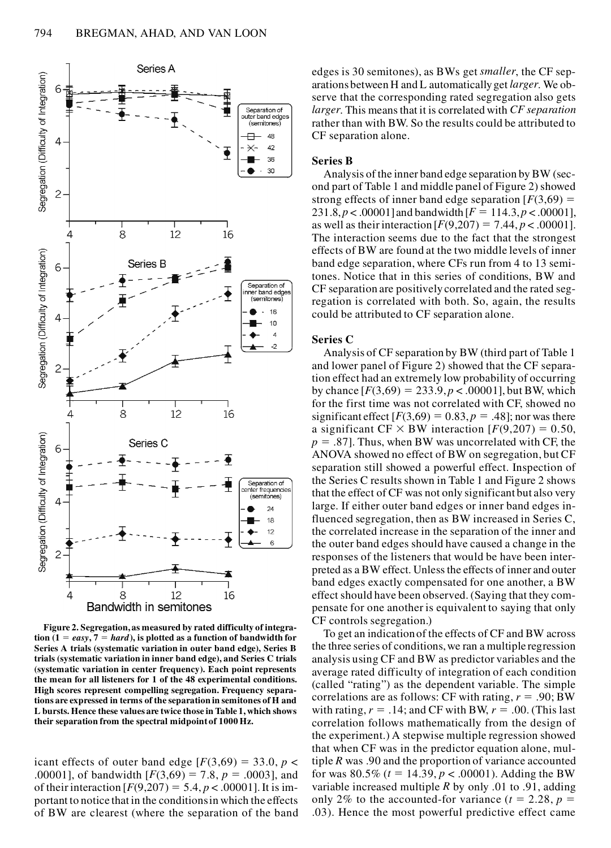

**Figure 2. Segregation, as measured by rated difficulty of integra-** $\text{tion } (1 = easy, 7 = hard), \text{ is plotted as a function of bandwidth for}$ **Series A trials (systematic variation in outer band edge), Series B trials (systematic variation in inner band edge), and Series C trials (systematic variation in center frequency). Each point represents the mean for all listeners for 1 of the 48 experimental conditions. High scores represent compelling segregation. Frequency separations are expressed in terms of the separation in semitones of H and L bursts. Hence these values are twice those in Table 1, which shows their separation from the spectral midpoint of 1000 Hz.**

icant effects of outer band edge  $[F(3,69) = 33.0, p <$ .00001], of bandwidth  $[F(3,69) = 7.8, p = .0003]$ , and of their interaction  $[F(9,207) = 5.4, p < .00001]$ . It is important to notice that in the conditions in which the effects of BW are clearest (where the separation of the band edges is 30 semitones), as BWs get *smaller*, the CF separations between H and L automatically get *larger*. We observe that the corresponding rated segregation also gets *larger*. This means that it is correlated with *CF separation* rather than with BW. So the results could be attributed to CF separation alone.

## **Series B**

Analysis of the inner band edge separation by BW (second part of Table 1 and middle panel of Figure 2) showed strong effects of inner band edge separation  $F(3,69) =$ 231.8,  $p < .00001$  and bandwidth  $[F = 114.3, p < .00001]$ , as well as their interaction  $[F(9,207) = 7.44, p < .00001]$ . The interaction seems due to the fact that the strongest effects of BW are found at the two middle levels of inner band edge separation, where CFs run from 4 to 13 semitones. Notice that in this series of conditions, BW and CF separation are positively correlated and the rated segregation is correlated with both. So, again, the results could be attributed to CF separation alone.

## **Series C**

Analysis of CF separation by BW (third part of Table 1 and lower panel of Figure 2) showed that the CF separation effect had an extremely low probability of occurring by chance  $[F(3,69) = 233.9, p < .00001]$ , but BW, which for the first time was not correlated with CF, showed no significant effect  $[F(3,69) = 0.83, p = .48]$ ; nor was there a significant CF  $\times$  BW interaction [ $F(9,207) = 0.50$ ,  $p = .87$ . Thus, when BW was uncorrelated with CF, the ANOVA showed no effect of BW on segregation, but CF separation still showed a powerful effect. Inspection of the Series C results shown in Table 1 and Figure 2 shows that the effect of CF was not only significant but also very large. If either outer band edges or inner band edges influenced segregation, then as BW increased in Series C, the correlated increase in the separation of the inner and the outer band edges should have caused a change in the responses of the listeners that would be have been interpreted as a BW effect. Unless the effects of inner and outer band edges exactly compensated for one another, a BW effect should have been observed. (Saying that they compensate for one another is equivalent to saying that only CF controls segregation.)

To get an indication of the effects of CF and BW across the three series of conditions, we ran a multiple regression analysis using CF and BW as predictor variables and the average rated difficulty of integration of each condition (called "rating") as the dependent variable. The simple correlations are as follows: CF with rating,  $r = .90$ ; BW with rating,  $r = .14$ ; and CF with BW,  $r = .00$ . (This last correlation follows mathematically from the design of the experiment.) A stepwise multiple regression showed that when CF was in the predictor equation alone, multiple *R* was .90 and the proportion of variance accounted for was  $80.5\%$  ( $t = 14.39$ ,  $p < .00001$ ). Adding the BW variable increased multiple *R* by only .01 to .91, adding only 2% to the accounted-for variance  $(t = 2.28, p = 1)$ .03). Hence the most powerful predictive effect came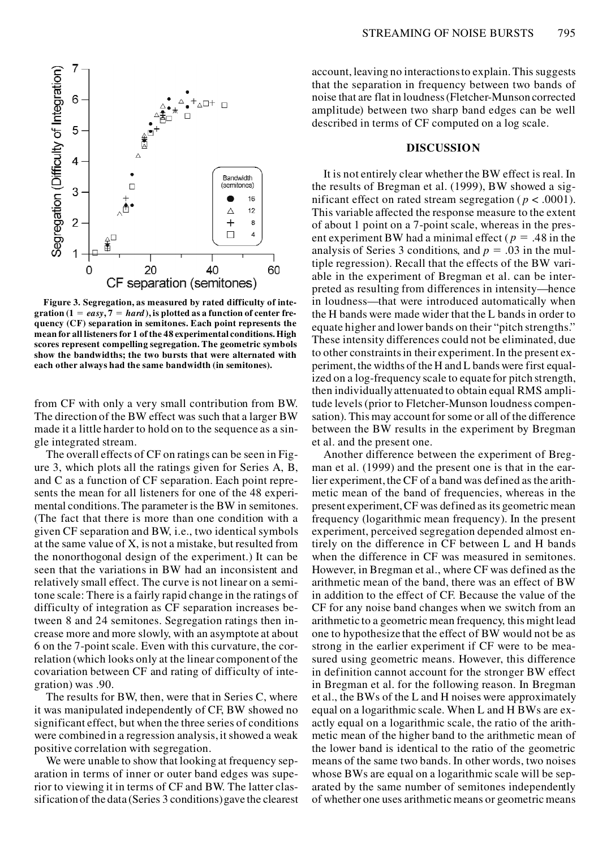

**Figure 3. Segregation, as measured by rated difficulty of inte**gration  $(1 = easy, 7 = hard)$ , is plotted as a function of center fre**quency (CF) separation in semitones. Each point represents the mean for all listeners for 1 of the 48 experimental conditions. High scores represent compelling segregation. The geometric symbols show the bandwidths; the two bursts that were alternated with each other always had the same bandwidth (in semitones).**

from CF with only a very small contribution from BW. The direction of the BW effect was such that a larger BW made it a little harder to hold on to the sequence as a single integrated stream.

The overall effects of CF on ratings can be seen in Figure 3, which plots all the ratings given for Series A, B, and C as a function of CF separation. Each point represents the mean for all listeners for one of the 48 experimental conditions. The parameter is the BW in semitones. (The fact that there is more than one condition with a given CF separation and BW, i.e., two identical symbols at the same value of X, is not a mistake, but resulted from the nonorthogonal design of the experiment.) It can be seen that the variations in BW had an inconsistent and relatively small effect. The curve is not linear on a semitone scale: There is a fairly rapid change in the ratings of difficulty of integration as CF separation increases between 8 and 24 semitones. Segregation ratings then increase more and more slowly, with an asymptote at about 6 on the 7-point scale. Even with this curvature, the correlation (which looks only at the linear component of the covariation between CF and rating of difficulty of integration) was .90.

The results for BW, then, were that in Series C, where it was manipulated independently of CF, BW showed no significant effect, but when the three series of conditions were combined in a regression analysis, it showed a weak positive correlation with segregation.

We were unable to show that looking at frequency separation in terms of inner or outer band edges was superior to viewing it in terms of CF and BW. The latter classification of the data (Series 3 conditions) gave the clearest account, leaving no interactions to explain. This suggests that the separation in frequency between two bands of noise that are flat in loudness (Fletcher-Munson corrected amplitude) between two sharp band edges can be well described in terms of CF computed on a log scale.

# **DISCUSSION**

It is not entirely clear whether the BW effect is real. In the results of Bregman et al. (1999), BW showed a significant effect on rated stream segregation ( $p < .0001$ ). This variable affected the response measure to the extent of about 1 point on a 7-point scale, whereas in the present experiment BW had a minimal effect ( $p = .48$  in the analysis of Series 3 conditions, and  $p = .03$  in the multiple regression). Recall that the effects of the BW variable in the experiment of Bregman et al. can be interpreted as resulting from differences in intensity—hence in loudness—that were introduced automatically when the H bands were made wider that the L bands in order to equate higher and lower bands on their "pitch strengths." These intensity differences could not be eliminated, due to other constraints in their experiment. In the present experiment, the widths of the H and L bands were first equalized on a log-frequency scale to equate for pitch strength, then individuallyattenuated to obtain equal RMS amplitude levels (prior to Fletcher-Munson loudness compensation). This may account for some or all of the difference between the BW results in the experiment by Bregman et al. and the present one.

Another difference between the experiment of Bregman et al. (1999) and the present one is that in the earlier experiment, the CF of a band was defined as the arithmetic mean of the band of frequencies, whereas in the present experiment, CF was defined as its geometric mean frequency (logarithmic mean frequency). In the present experiment, perceived segregation depended almost entirely on the difference in CF between L and H bands when the difference in CF was measured in semitones. However, in Bregman et al., where CF was defined as the arithmetic mean of the band, there was an effect of BW in addition to the effect of CF. Because the value of the CF for any noise band changes when we switch from an arithmetic to a geometric mean frequency, this might lead one to hypothesize that the effect of BW would not be as strong in the earlier experiment if CF were to be measured using geometric means. However, this difference in definition cannot account for the stronger BW effect in Bregman et al. for the following reason. In Bregman et al., the BWs of the L and H noises were approximately equal on a logarithmic scale. When L and H BWs are exactly equal on a logarithmic scale, the ratio of the arithmetic mean of the higher band to the arithmetic mean of the lower band is identical to the ratio of the geometric means of the same two bands. In other words, two noises whose BWs are equal on a logarithmic scale will be separated by the same number of semitones independently of whether one uses arithmetic means or geometric means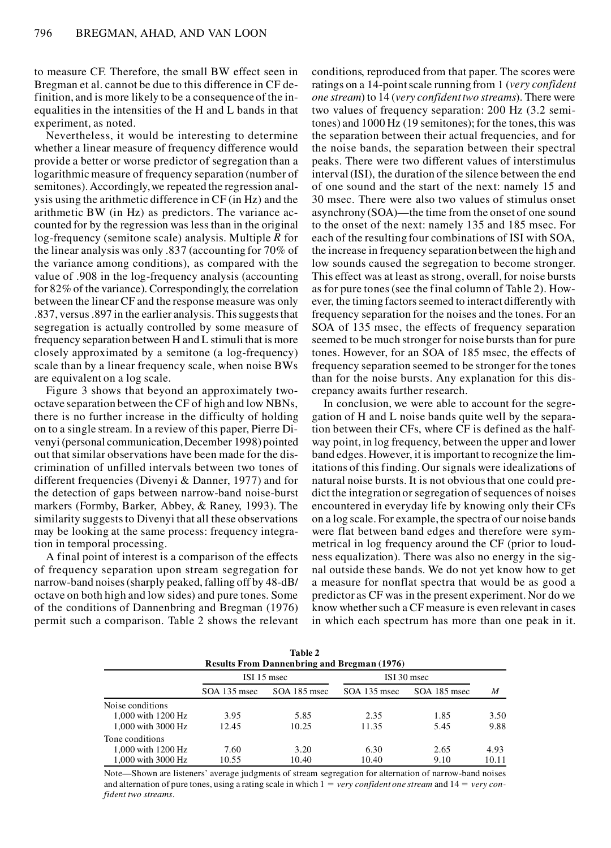to measure CF. Therefore, the small BW effect seen in Bregman et al. cannot be due to this difference in CF definition, and is more likely to be a consequence of the inequalities in the intensities of the H and L bands in that experiment, as noted.

Nevertheless, it would be interesting to determine whether a linear measure of frequency difference would provide a better or worse predictor of segregation than a logarithmic measure of frequency separation (number of semitones). Accordingly, we repeated the regression analysis using the arithmetic difference in CF (in Hz) and the arithmetic BW (in Hz) as predictors. The variance accounted for by the regression was less than in the original log-frequency (semitone scale) analysis. Multiple *R* for the linear analysis was only .837 (accounting for 70% of the variance among conditions), as compared with the value of .908 in the log-frequency analysis (accounting for 82% of the variance). Correspondingly, the correlation between the linear CF and the response measure was only .837, versus .897 in the earlier analysis. This suggests that segregation is actually controlled by some measure of frequency separation between H and L stimuli that is more closely approximated by a semitone (a log-frequency) scale than by a linear frequency scale, when noise BWs are equivalent on a log scale.

Figure 3 shows that beyond an approximately twooctave separation between the CF of high and low NBNs, there is no further increase in the difficulty of holding on to a single stream. In a review of this paper, Pierre Divenyi (personal communication, December 1998) pointed out that similar observations have been made for the discrimination of unfilled intervals between two tones of different frequencies (Divenyi & Danner, 1977) and for the detection of gaps between narrow-band noise-burst markers (Formby, Barker, Abbey, & Raney, 1993). The similarity suggests to Divenyi that all these observations may be looking at the same process: frequency integration in temporal processing.

A final point of interest is a comparison of the effects of frequency separation upon stream segregation for narrow-band noises (sharply peaked, falling off by 48-dB/ octave on both high and low sides) and pure tones. Some of the conditions of Dannenbring and Bregman (1976) permit such a comparison. Table 2 shows the relevant conditions, reproduced from that paper. The scores were ratings on a 14-point scale running from 1 (*very confident one stream*) to 14 (*very confident two streams*). There were two values of frequency separation: 200 Hz (3.2 semitones) and 1000 Hz (19 semitones); for the tones, this was the separation between their actual frequencies, and for the noise bands, the separation between their spectral peaks. There were two different values of interstimulus interval (ISI), the duration of the silence between the end of one sound and the start of the next: namely 15 and 30 msec. There were also two values of stimulus onset asynchrony (SOA)—the time from the onset of one sound to the onset of the next: namely 135 and 185 msec. For each of the resulting four combinations of ISI with SOA, the increase in frequency separation between the high and low sounds caused the segregation to become stronger. This effect was at least as strong, overall, for noise bursts as for pure tones (see the final column of Table 2). However, the timing factors seemed to interact differently with frequency separation for the noises and the tones. For an SOA of 135 msec, the effects of frequency separation seemed to be much stronger for noise bursts than for pure tones. However, for an SOA of 185 msec, the effects of frequency separation seemed to be stronger for the tones than for the noise bursts. Any explanation for this discrepancy awaits further research.

In conclusion, we were able to account for the segregation of H and L noise bands quite well by the separation between their CFs, where CF is defined as the halfway point, in log frequency, between the upper and lower band edges. However, it is important to recognize the limitations of this finding. Our signals were idealizations of natural noise bursts. It is not obvious that one could predict the integration or segregation of sequences of noises encountered in everyday life by knowing only their CFs on a log scale. For example, the spectra of our noise bands were flat between band edges and therefore were symmetrical in log frequency around the CF (prior to loudness equalization). There was also no energy in the signal outside these bands. We do not yet know how to get a measure for nonflat spectra that would be as good a predictor as CF was in the present experiment. Nor do we know whether such a CF measure is even relevant in cases in which each spectrum has more than one peak in it.

|                    |              | Table 2<br><b>Results From Dannenbring and Bregman (1976)</b> |              |              |       |
|--------------------|--------------|---------------------------------------------------------------|--------------|--------------|-------|
|                    |              | ISI 15 msec                                                   |              | ISI 30 msec  |       |
|                    | SOA 135 msec | SOA 185 msec                                                  | SOA 135 msec | SOA 185 msec | M     |
| Noise conditions   |              |                                                               |              |              |       |
| 1,000 with 1200 Hz | 3.95         | 5.85                                                          | 2.35         | 1.85         | 3.50  |
| 1,000 with 3000 Hz | 12.45        | 10.25                                                         | 11.35        | 5.45         | 9.88  |
| Tone conditions    |              |                                                               |              |              |       |
| 1,000 with 1200 Hz | 7.60         | 3.20                                                          | 6.30         | 2.65         | 4.93  |
| 1,000 with 3000 Hz | 10.55        | 10.40                                                         | 10.40        | 9.10         | 10.11 |

Note—Shown are listeners' average judgments of stream segregation for alternation of narrow-band noises and alternation of pure tones, using a rating scale in which  $1 = \text{very confident one stream}$  and  $14 = \text{very content}$ *fident two streams*.